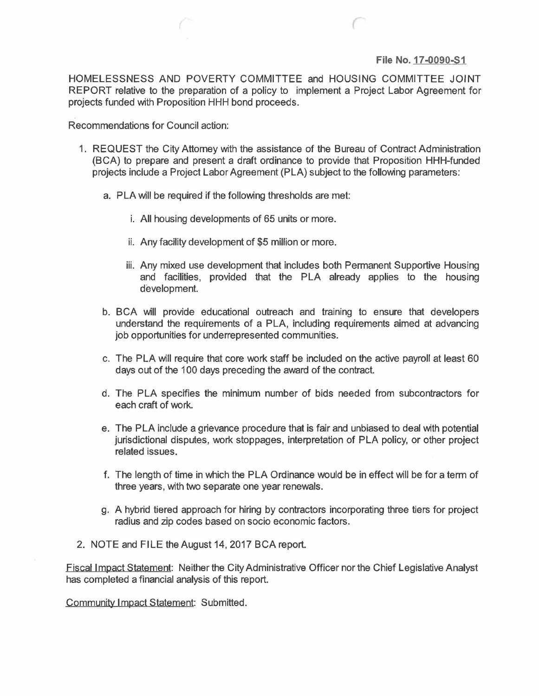## **File No. 17-0090-51**

HOMELESSNESS AND POVERTY COMMITTEE and HOUSING COMMITTEE JOINT REPORT relative to the preparation of a policy to implement a Project Labor Agreement for projects funded with Proposition HHH bond proceeds.

Recommendations for Council action:

- 1. REQUEST the City Attorney with the assistance of the Bureau of Contract Administration (BCA) to prepare and present a draft ordinance to provide that Proposition HHH-funded projects include a Project Labor Agreement (PLA) subject to the following parameters:
	- a. PLA will be required if the following thresholds are met:
		- i. All housing developments of 65 units or more.
		- ii. Any facility development of \$5 million or more.
		- iii. Any mixed use development that includes both Permanent Supportive Housing and facilities, provided that the PLA already applies to the housing development.
	- b. BCA will provide educational outreach and training to ensure that developers understand the requirements of a PLA, including requirements aimed at advancing job opportunities for underrepresented communities.
	- c. The PLA will require that core work staff be included on the active payroll at least 60 days out of the 100 days preceding the award of the contract.
	- d. The PLA specifies the minimum number of bids needed from subcontractors for each craft of work.
	- e. The PLA include a grievance procedure that is fair and unbiased to deal with potential jurisdictional disputes, work stoppages, interpretation of PLA policy, or other project related issues.
	- f. The length of time in which the PLA Ordinance would be in effect will be for a term of three years, with two separate one year renewals.
	- g. A hybrid tiered approach for hiring by contractors incorporating three tiers for project radius and zip codes based on socio economic factors.
- 2. NOTE and FILE the August 14,2017 BCA report.

Fiscal Impact Statement: Neither the City Administrative Officer nor the Chief Legislative Analyst has completed a financial analysis of this report.

Community Impact Statement: Submitted.